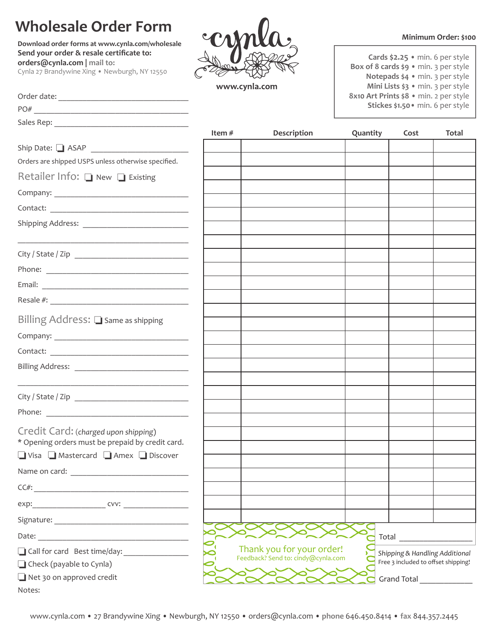## **Wholesale Order Form**

**Download order forms at www.cynla.com/wholesale**

www.cynla.com

**Minimum Order: \$100**

| Cards $$2.25 \cdot min. 6$ per style        |
|---------------------------------------------|
| Box of 8 cards \$9 · min. 3 per style       |
| Notepads \$4 · min. 3 per style             |
| Mini Lists $\frac{1}{2}$ • min. 3 per style |
| 8x10 Art Prints \$8 · min. 2 per style      |
| Stickes \$1.50 · min. 6 per style           |
|                                             |

**Send your order & resale certificate to: orders@cynla.com | mail to:** Cynla 27 Brandywine Xing • Newburgh, NY 12550

 $\frac{1}{2}$  ,  $\frac{1}{2}$  ,  $\frac{1}{2}$  ,  $\frac{1}{2}$  ,  $\frac{1}{2}$  ,  $\frac{1}{2}$  ,  $\frac{1}{2}$  ,  $\frac{1}{2}$  ,  $\frac{1}{2}$  ,  $\frac{1}{2}$  ,  $\frac{1}{2}$  ,  $\frac{1}{2}$  ,  $\frac{1}{2}$  ,  $\frac{1}{2}$  ,  $\frac{1}{2}$  ,  $\frac{1}{2}$  ,  $\frac{1}{2}$  ,  $\frac{1}{2}$  ,  $\frac{1$ 

| Order date: |  |  |  |
|-------------|--|--|--|
| $P()$ #     |  |  |  |

Sales Rep:

|                                                                                                                                                                                                                                | Item $#$ | Description                        | Quantity | Cost                                | Total |
|--------------------------------------------------------------------------------------------------------------------------------------------------------------------------------------------------------------------------------|----------|------------------------------------|----------|-------------------------------------|-------|
|                                                                                                                                                                                                                                |          |                                    |          |                                     |       |
| Orders are shipped USPS unless otherwise specified.                                                                                                                                                                            |          |                                    |          |                                     |       |
| Retailer Info: $\Box$ New $\Box$ Existing                                                                                                                                                                                      |          |                                    |          |                                     |       |
|                                                                                                                                                                                                                                |          |                                    |          |                                     |       |
|                                                                                                                                                                                                                                |          |                                    |          |                                     |       |
|                                                                                                                                                                                                                                |          |                                    |          |                                     |       |
|                                                                                                                                                                                                                                |          |                                    |          |                                     |       |
|                                                                                                                                                                                                                                |          |                                    |          |                                     |       |
|                                                                                                                                                                                                                                |          |                                    |          |                                     |       |
|                                                                                                                                                                                                                                |          |                                    |          |                                     |       |
|                                                                                                                                                                                                                                |          |                                    |          |                                     |       |
| Billing Address: $\Box$ Same as shipping                                                                                                                                                                                       |          |                                    |          |                                     |       |
|                                                                                                                                                                                                                                |          |                                    |          |                                     |       |
|                                                                                                                                                                                                                                |          |                                    |          |                                     |       |
|                                                                                                                                                                                                                                |          |                                    |          |                                     |       |
|                                                                                                                                                                                                                                |          |                                    |          |                                     |       |
|                                                                                                                                                                                                                                |          |                                    |          |                                     |       |
|                                                                                                                                                                                                                                |          |                                    |          |                                     |       |
| Credit Card: (charged upon shipping)                                                                                                                                                                                           |          |                                    |          |                                     |       |
| * Opening orders must be prepaid by credit card.                                                                                                                                                                               |          |                                    |          |                                     |       |
| Visa Mastercard Amex Discover                                                                                                                                                                                                  |          |                                    |          |                                     |       |
|                                                                                                                                                                                                                                |          |                                    |          |                                     |       |
| $CC#$ :                                                                                                                                                                                                                        |          |                                    |          |                                     |       |
| exp: cvv:                                                                                                                                                                                                                      |          |                                    |          |                                     |       |
| Signature: The Company of the Company of the Company of the Company of the Company of the Company of the Company of the Company of the Company of the Company of the Company of the Company of the Company of the Company of t |          |                                    |          |                                     |       |
| Date: the contract of the contract of the contract of the contract of the contract of the contract of the contract of the contract of the contract of the contract of the contract of the contract of the contract of the cont |          |                                    |          | Total                               |       |
| Call for card Best time/day:                                                                                                                                                                                                   |          | Thank you for your order!          |          | Shipping & Handling Additional      |       |
| $\Box$ Check (payable to Cynla)                                                                                                                                                                                                |          | Feedback? Send to: cindy@cynla.com |          | Free 3 included to offset shipping! |       |
| Net 30 on approved credit<br>Notes:                                                                                                                                                                                            |          |                                    |          | Grand Total <b>Sandware State</b>   |       |